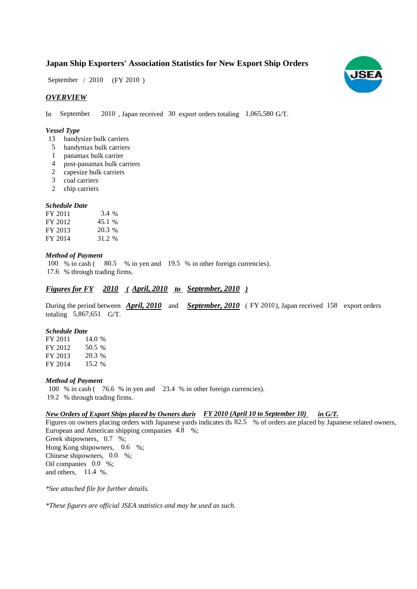## **Japan Ship Exporters' Association Statistics for New Export Ship Orders**

 $(FY 2010)$ September / 2010

## *OVERVIEW*

In September 2010, Japan received 30 export orders totaling 1,065,580 G/T.

#### *Vessel Type*

- 13 handysize bulk carriers
- handymax bulk carriers 5
- panamax bulk carrier 1
- post-panamax bulk carriers 4
- capesize bulk carriers 2
- coal carriers 3
- 2 chip carriers

#### *Schedule Date*

| FY 2011 | 3.4 %  |
|---------|--------|
| FY 2012 | 45.1 % |
| FY 2013 | 20.3 % |
| FY 2014 | 31.2 % |

### *Method of Payment*

100 % in cash (80.5 % in yen and 19.5 % in other foreign currencies). % through trading firms. 17.6

## *Figures for FY* 2010 (April, 2010 to September, 2010)

During the period between **April, 2010** and **September, 2010** (FY 2010), Japan received 158 export orders totaling  $5,867,651$  G/T.

#### *Schedule Date*

FY 2011 FY 2012 FY 2013 FY 2014 14.0 % 50.5 20.3 % 15.2 %

#### *Method of Payment*

100 % in cash ( $\frac{76.6}{8}$  in yen and  $\frac{23.4}{8}$  in other foreign currencies). % through trading firms. 19.2

#### *New Orders of Export Ships placed by Owners durin FY 2010 (April 10 to September 10) in G/T.*

Figures on owners placing orders with Japanese yards indicates th: 82.5 % of orders are placed by Japanese related owners, European and American shipping companies 4.8 %; Greek shipowners, 0.7 %; Hong Kong shipowners,  $0.6\%$ ; Chinese shipowners, 0.0 %; Oil companies 0.0 %; and others,  $11.4\%$ .

*\*See attached file for further details.*

*\*These figures are official JSEA statistics and may be used as such.*

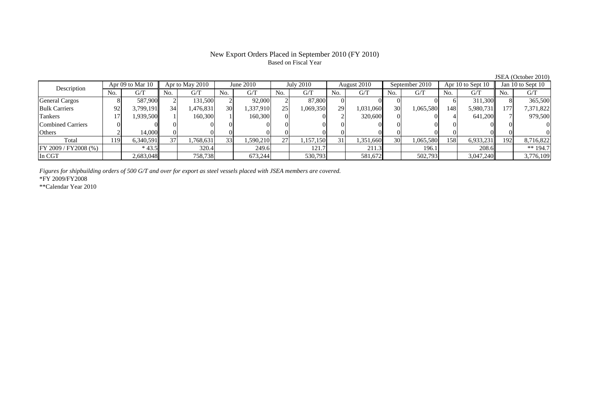## New Export Orders Placed in September 2010 (FY 2010) Based on Fiscal Year

| Description           |     | Apr 09 to Mar 10 |     | Apr to May 2010 |                 | June $2010$ |                 | <b>July 2010</b> |                | August 2010 |                 | September 2010 |     | Apr 10 to Sept 10 |      | Jan 10 to Sept 10 |  |
|-----------------------|-----|------------------|-----|-----------------|-----------------|-------------|-----------------|------------------|----------------|-------------|-----------------|----------------|-----|-------------------|------|-------------------|--|
|                       | No. | G/T              | No. | G/T             | No.             | G/T         | No.             | G/T              | N <sub>o</sub> | G/T         | No.             | G/T            | No. | G/T               | No.  | G/T               |  |
| <b>General Cargos</b> |     | 587,900          |     | 131,500         |                 | 92,000      |                 | 87,800           |                |             |                 |                |     | 311.300L          |      | 365,500           |  |
| <b>Bulk Carriers</b>  | 92  | 3,799,191        | 34  | 1,476,831       | 30              | 1,337,910   | 25 <sub>1</sub> | .069,350         | 29             | 1,031,060   | <b>30</b>       | 1,065,580      | 148 | 5,980,731         | 1771 | 7,371,822         |  |
| Tankers               |     | 1,939,500        |     | 160,300         |                 | 160,300     |                 |                  |                | 320,600     |                 |                |     | 641,200           |      | 979,500           |  |
| Combined Carriers     |     |                  |     |                 |                 |             |                 |                  |                |             |                 |                |     |                   |      |                   |  |
| Others                |     | 14,000           |     |                 |                 |             |                 |                  |                |             |                 |                |     |                   |      |                   |  |
| Total                 | 119 | 6.340.591        | 37  | .768,631        | 33 <sup>1</sup> | 1.590.210   | 27              | 1,157,150        | 31             | 1,351,660   | 30 <sup>1</sup> | 1,065,580      | 158 | 6,933,231         | 192  | 8,716,822         |  |
| FY 2009 / FY 2008 (%) |     | $*43.5$          |     | 320.4           |                 | 249.6       |                 | 121.7            |                | 211.3       |                 | 196.1          |     | 208.6             |      | ** $194.7$        |  |
| In CGT                |     | 2,683,048        |     | 758,738         |                 | 673,244     |                 | 530,793          |                | 581,672     |                 | 502,793        |     | 3,047,240         |      | 3,776,109         |  |

*Figures for shipbuilding orders of 500 G/T and over for export as steel vessels placed with JSEA members are covered.*

\*FY 2009/FY2008

\*\*Calendar Year 2010

JSEA (October 2010)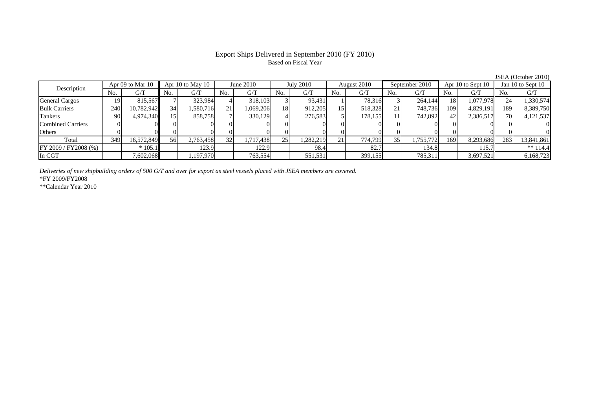## Export Ships Delivered in September 2010 (FY 2010) Based on Fiscal Year

|                          |                  |            |                  |           |             |           |           |          |             |         |                |           |                   |           |                   | JSEA (October 2010) |
|--------------------------|------------------|------------|------------------|-----------|-------------|-----------|-----------|----------|-------------|---------|----------------|-----------|-------------------|-----------|-------------------|---------------------|
| Description              | Apr 09 to Mar 10 |            | Apr 10 to May 10 |           | June $2010$ |           | July 2010 |          | August 2010 |         | September 2010 |           | Apr 10 to Sept 10 |           | Jan 10 to Sept 10 |                     |
|                          | No.              | G/T        | No.              | G/T       | No.         | G/T       | No.       | G/T      | No.         | G/T     | No.            | G/T       | No.               | G/T       | No.               | G/T                 |
| <b>General Cargos</b>    | 19 <sup>1</sup>  | 815,567    |                  | 323,984   |             | 318,103   |           | 93,431   |             | 78,316  |                | 264,144   | 18                | 1,077,978 |                   | 1,330,574           |
| <b>Bulk Carriers</b>     | 240              | 10,782,942 | 34               | 1,580,716 | 21          | .069,206  | 18        | 912,205  | 15          | 518,328 | 21             | 748,736   | 109               | 4,829,191 | 189               | 8,389,750           |
| Tankers                  | 90               | 4,974,340  | 15 <sub>1</sub>  | 858,758   |             | 330,129   |           | 276,583  |             | 178,155 |                | 742,892   | 42                | 2,386,517 | 70                | 4,121,537           |
| <b>Combined Carriers</b> |                  |            |                  |           |             |           |           |          |             |         |                |           |                   |           |                   | 0                   |
| Others                   |                  |            |                  |           |             |           |           |          |             |         |                |           |                   |           |                   | 0                   |
| Total                    | 349              | 16,572,849 | 56               | 2,763,458 | 32          | 1,717,438 | 25        | ,282,219 | 21          | 774,799 | 35             | 1,755,772 | 169               | 8,293,686 | 283               | 13,841,861          |
| FY 2009 / FY 2008 (%)    |                  | $*105.1$   |                  | 123.9     |             | 122.9     |           | 98.4     |             | 82.7    |                | 134.8     |                   | 115.7     |                   | ** $114.4$          |
| In CGT                   |                  | 7,602,068  |                  | ,197,970  |             | 763,554   |           | 551,531  |             | 399,155 |                | 785,311   |                   | 3,697,521 |                   | 6,168,723           |

*Deliveries of new shipbuilding orders of 500 G/T and over for export as steel vessels placed with JSEA members are covered.*

\*FY 2009/FY2008

\*\*Calendar Year 2010